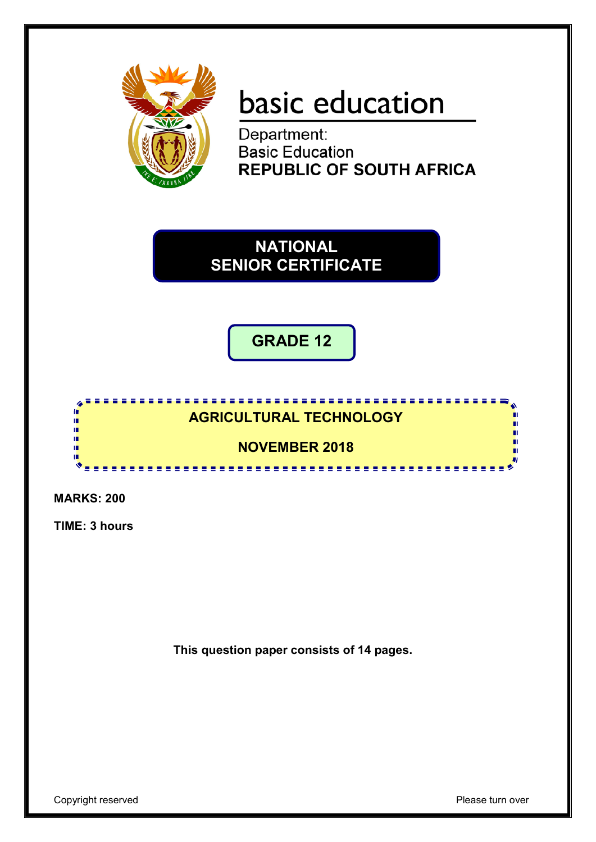

# basic education

Department: **Basic Education<br>REPUBLIC OF SOUTH AFRICA** 

**NATIONAL SENIOR CERTIFICATE**

**GRADE 12**

## **AGRICULTURAL TECHNOLOGY**

<u>...................</u>

<u>................</u>

**NOVEMBER 2018**

**MARKS: 200**

ı. I.

ú m

**TIME: 3 hours**

**This question paper consists of 14 pages.**

m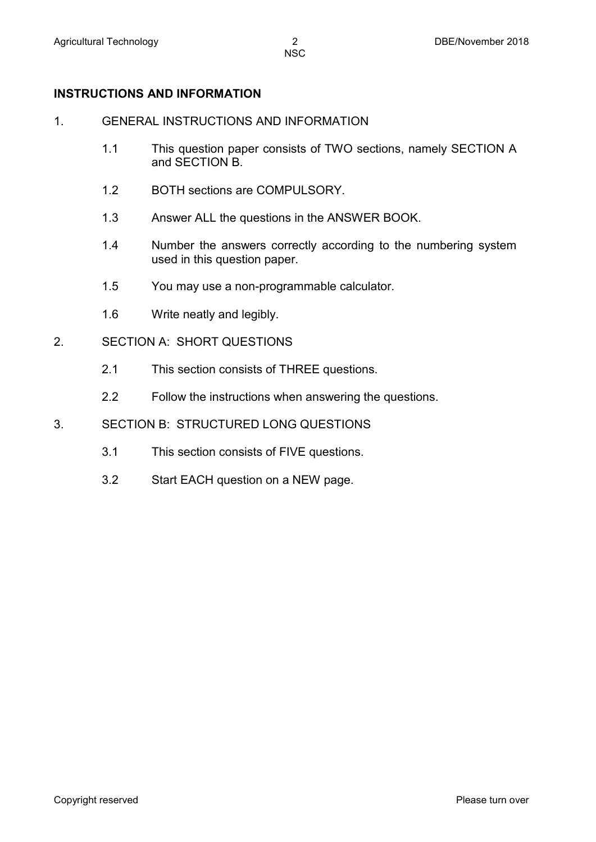#### **INSTRUCTIONS AND INFORMATION**

- 1. GENERAL INSTRUCTIONS AND INFORMATION
	- 1.1 This question paper consists of TWO sections, namely SECTION A and SECTION B.
	- 1.2 BOTH sections are COMPULSORY.
	- 1.3 Answer ALL the questions in the ANSWER BOOK.
	- 1.4 Number the answers correctly according to the numbering system used in this question paper.
	- 1.5 You may use a non-programmable calculator.
	- 1.6 Write neatly and legibly.
- 2. SECTION A: SHORT QUESTIONS
	- 2.1 This section consists of THREE questions.
	- 2.2 Follow the instructions when answering the questions.
- 3. SECTION B: STRUCTURED LONG QUESTIONS
	- 3.1 This section consists of FIVE questions.
	- 3.2 Start EACH question on a NEW page.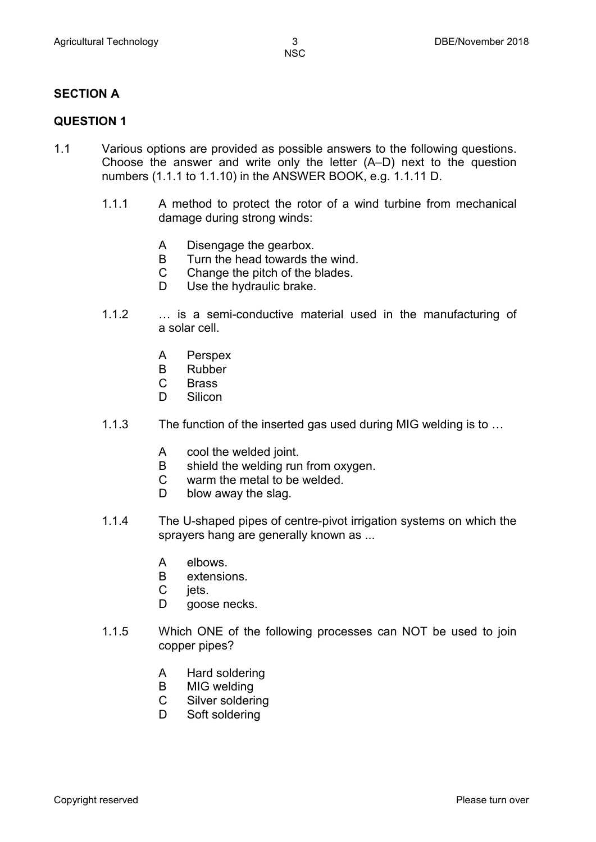#### **SECTION A**

#### **QUESTION 1**

- 1.1 Various options are provided as possible answers to the following questions. Choose the answer and write only the letter (A–D) next to the question numbers (1.1.1 to 1.1.10) in the ANSWER BOOK, e.g. 1.1.11 D.
	- 1.1.1 A method to protect the rotor of a wind turbine from mechanical damage during strong winds:
		- A Disengage the gearbox.
		- B Turn the head towards the wind.
		- $\mathsf{C}$ Change the pitch of the blades.
		- D Use the hydraulic brake.
	- 1.1.2 … is a semi-conductive material used in the manufacturing of a solar cell.
		- A Perspex
		- B Rubber
		- C **Brass**
		- D. **Silicon**
	- 1.1.3 The function of the inserted gas used during MIG welding is to …
		- A cool the welded joint.
		- B shield the welding run from oxygen.
		- $\mathcal{C}$ warm the metal to be welded.
		- D blow away the slag.
	- 1.1.4 The U-shaped pipes of centre-pivot irrigation systems on which the sprayers hang are generally known as ...
		- A elbows.
		- B extensions.
		- C jets.
		- D goose necks.
	- 1.1.5 Which ONE of the following processes can NOT be used to join copper pipes?
		- A Hard soldering
		- B MIG welding
		- C Silver soldering
		- D Soft soldering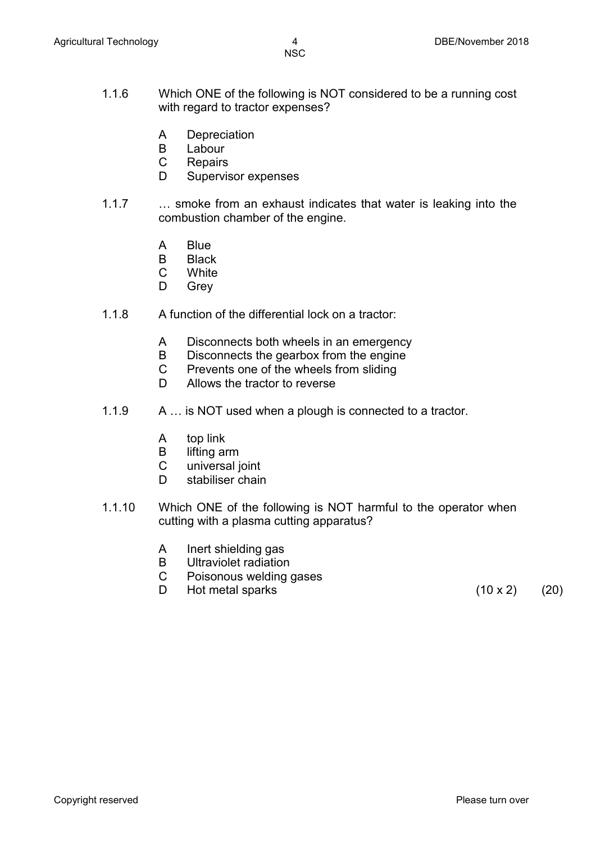- 1.1.6 Which ONE of the following is NOT considered to be a running cost with regard to tractor expenses?
	- A **Depreciation**
	- B Labour
	- C **Repairs**
	- D Supervisor expenses
- 1.1.7 … smoke from an exhaust indicates that water is leaking into the combustion chamber of the engine.
	- A Blue
	- B Black
	- C **White**
	- D Grey
- 1.1.8 A function of the differential lock on a tractor:
	- A Disconnects both wheels in an emergency
	- B Disconnects the gearbox from the engine
	- $\mathcal{C}$ Prevents one of the wheels from sliding
	- D. Allows the tractor to reverse
- 1.1.9 A … is NOT used when a plough is connected to a tractor.
	- A top link
	- B lifting arm
	- C universal joint
	- D. stabiliser chain
- 1.1.10 Which ONE of the following is NOT harmful to the operator when cutting with a plasma cutting apparatus?
	- A Inert shielding gas
	- B Ultraviolet radiation
	- $\mathcal{C}$ Poisonous welding gases
	- D Hot metal sparks  $(10 \times 2)$   $(20)$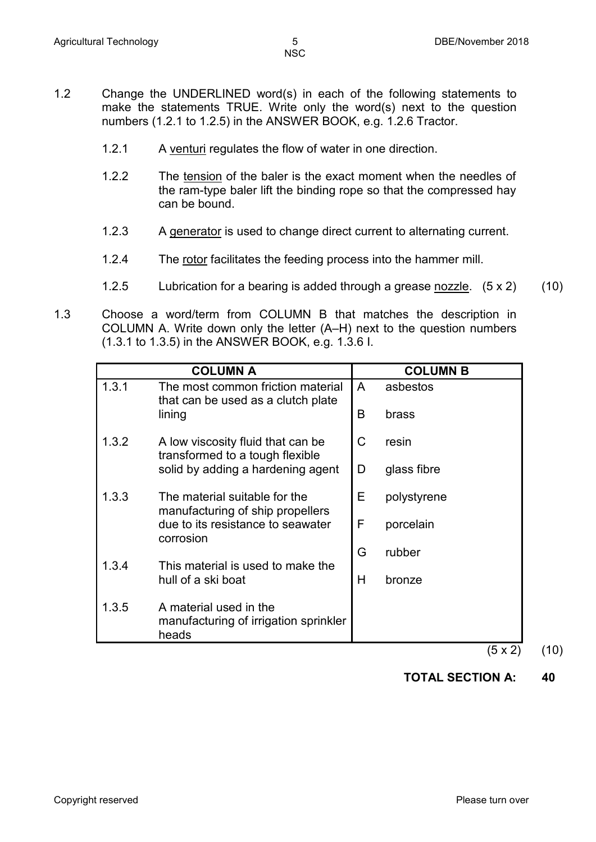- 1.2 Change the UNDERLINED word(s) in each of the following statements to make the statements TRUE. Write only the word(s) next to the question numbers (1.2.1 to 1.2.5) in the ANSWER BOOK, e.g. 1.2.6 Tractor.
	- 1.2.1 A venturi regulates the flow of water in one direction.
	- 1.2.2 The tension of the baler is the exact moment when the needles of the ram-type baler lift the binding rope so that the compressed hay can be bound.
	- 1.2.3 A generator is used to change direct current to alternating current.
	- 1.2.4 The rotor facilitates the feeding process into the hammer mill.
	- 1.2.5 Lubrication for a bearing is added through a grease nozzle. (5 x 2) (10)
- 1.3 Choose a word/term from COLUMN B that matches the description in COLUMN A. Write down only the letter (A–H) next to the question numbers (1.3.1 to 1.3.5) in the ANSWER BOOK, e.g. 1.3.6 I.

|       | <b>COLUMN A</b>                                                          |              | <b>COLUMN B</b> |
|-------|--------------------------------------------------------------------------|--------------|-----------------|
| 1.3.1 | The most common friction material<br>that can be used as a clutch plate  | $\mathsf{A}$ | asbestos        |
|       | lining                                                                   | B            | brass           |
| 1.3.2 | A low viscosity fluid that can be<br>transformed to a tough flexible     | C            | resin           |
|       | solid by adding a hardening agent                                        | D            | glass fibre     |
| 1.3.3 | The material suitable for the<br>manufacturing of ship propellers        | Е            | polystyrene     |
|       | due to its resistance to seawater<br>corrosion                           | F            | porcelain       |
| 1.3.4 | This material is used to make the                                        | G            | rubber          |
|       | hull of a ski boat                                                       | Н            | bronze          |
| 1.3.5 | A material used in the<br>manufacturing of irrigation sprinkler<br>heads |              |                 |

 $(5 \times 2)$  (10)

### **TOTAL SECTION A: 40**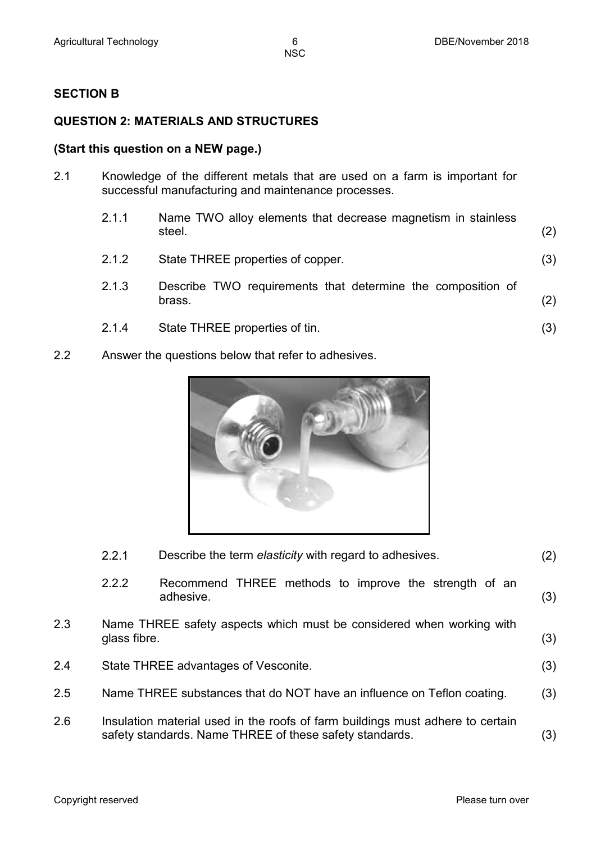#### **SECTION B**

#### **QUESTION 2: MATERIALS AND STRUCTURES**

#### **(Start this question on a NEW page.)**

2.1 Knowledge of the different metals that are used on a farm is important for successful manufacturing and maintenance processes.

| 2.1.1 | Name TWO alloy elements that decrease magnetism in stainless<br>steel. | (2) |
|-------|------------------------------------------------------------------------|-----|
| 2.1.2 | State THREE properties of copper.                                      | (3) |
| 2.1.3 | Describe TWO requirements that determine the composition of<br>brass.  | (2) |
| 2.1.4 | State THREE properties of tin.                                         | (3) |

2.2 Answer the questions below that refer to adhesives.



|     | 2.2.1                                                                                                                                     | Describe the term elasticity with regard to adhesives.                 | (2) |
|-----|-------------------------------------------------------------------------------------------------------------------------------------------|------------------------------------------------------------------------|-----|
|     | 2.2.2                                                                                                                                     | Recommend THREE methods to improve the strength of an<br>adhesive.     | (3) |
| 2.3 | glass fibre.                                                                                                                              | Name THREE safety aspects which must be considered when working with   | (3) |
| 2.4 |                                                                                                                                           | State THREE advantages of Vesconite.                                   | (3) |
| 2.5 |                                                                                                                                           | Name THREE substances that do NOT have an influence on Teflon coating. | (3) |
| 2.6 | Insulation material used in the roofs of farm buildings must adhere to certain<br>safety standards. Name THREE of these safety standards. |                                                                        | (3) |
|     |                                                                                                                                           |                                                                        |     |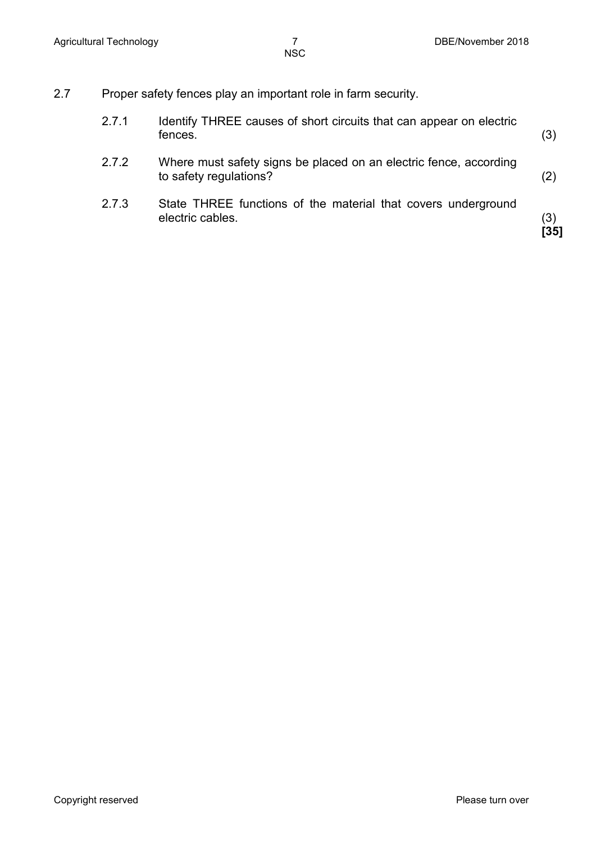2.7 Proper safety fences play an important role in farm security.

| 2.7.1 | Identify THREE causes of short circuits that can appear on electric<br>fences.              | (3)         |
|-------|---------------------------------------------------------------------------------------------|-------------|
| 2.7.2 | Where must safety signs be placed on an electric fence, according<br>to safety regulations? | (2)         |
| 2.7.3 | State THREE functions of the material that covers underground<br>electric cables.           | (3)<br>[35] |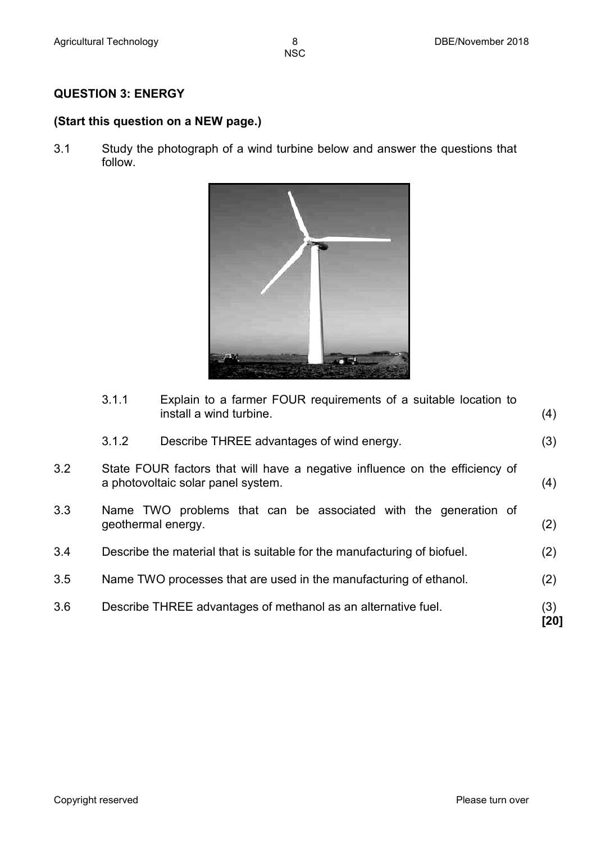#### **QUESTION 3: ENERGY**

#### **(Start this question on a NEW page.)**

3.1 Study the photograph of a wind turbine below and answer the questions that follow.



|     | 3.1.1 | Explain to a farmer FOUR requirements of a suitable location to<br>install a wind turbine.                        | (4)         |
|-----|-------|-------------------------------------------------------------------------------------------------------------------|-------------|
|     | 3.1.2 | Describe THREE advantages of wind energy.                                                                         | (3)         |
| 3.2 |       | State FOUR factors that will have a negative influence on the efficiency of<br>a photovoltaic solar panel system. | (4)         |
| 3.3 |       | Name TWO problems that can be associated with the generation of<br>geothermal energy.                             | (2)         |
| 3.4 |       | Describe the material that is suitable for the manufacturing of biofuel.                                          | (2)         |
| 3.5 |       | Name TWO processes that are used in the manufacturing of ethanol.                                                 | (2)         |
| 3.6 |       | Describe THREE advantages of methanol as an alternative fuel.                                                     | (3)<br>[20] |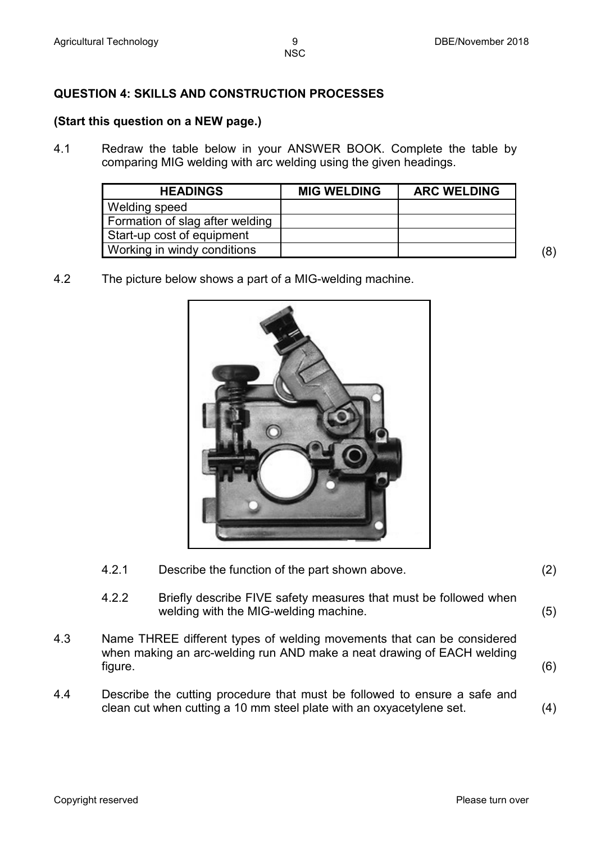#### **QUESTION 4: SKILLS AND CONSTRUCTION PROCESSES**

#### **(Start this question on a NEW page.)**

4.1 Redraw the table below in your ANSWER BOOK. Complete the table by comparing MIG welding with arc welding using the given headings.

| <b>HEADINGS</b>                 | <b>MIG WELDING</b> | <b>ARC WELDING</b> |
|---------------------------------|--------------------|--------------------|
| Welding speed                   |                    |                    |
| Formation of slag after welding |                    |                    |
| Start-up cost of equipment      |                    |                    |
| Working in windy conditions     |                    |                    |

4.2 The picture below shows a part of a MIG-welding machine.



- 4.2.1 Describe the function of the part shown above. (2)
- 4.2.2 Briefly describe FIVE safety measures that must be followed when welding with the MIG-welding machine. (5)
- 4.3 Name THREE different types of welding movements that can be considered when making an arc-welding run AND make a neat drawing of EACH welding figure. (6)
- 4.4 Describe the cutting procedure that must be followed to ensure a safe and clean cut when cutting a 10 mm steel plate with an oxyacetylene set. (4)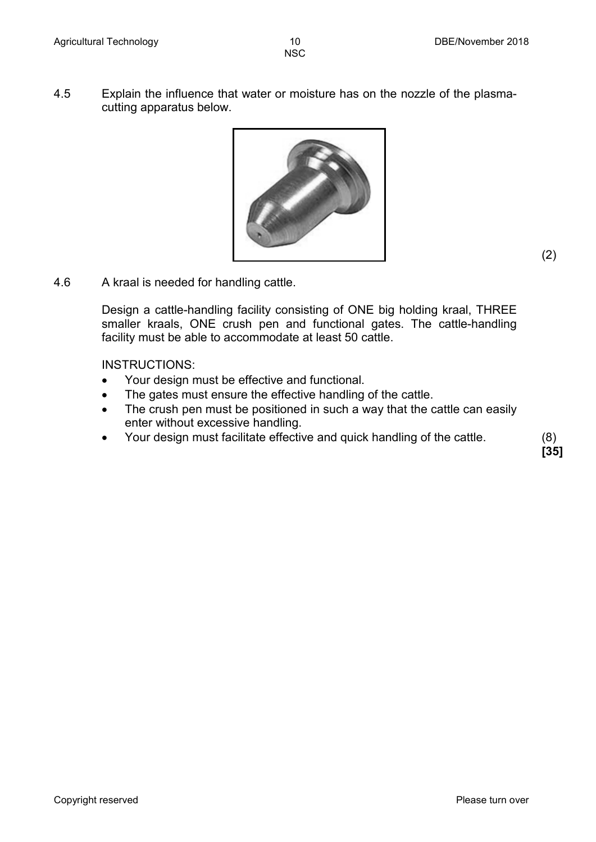4.5 Explain the influence that water or moisture has on the nozzle of the plasmacutting apparatus below.



4.6 A kraal is needed for handling cattle.

Design a cattle-handling facility consisting of ONE big holding kraal, THREE smaller kraals, ONE crush pen and functional gates. The cattle-handling facility must be able to accommodate at least 50 cattle.

INSTRUCTIONS:

- Your design must be effective and functional.
- The gates must ensure the effective handling of the cattle.
- The crush pen must be positioned in such a way that the cattle can easily enter without excessive handling.
- Your design must facilitate effective and quick handling of the cattle. (8)

**[35]**

(2)

Copyright reserved **Please turn over the Copyright reserved** Please turn over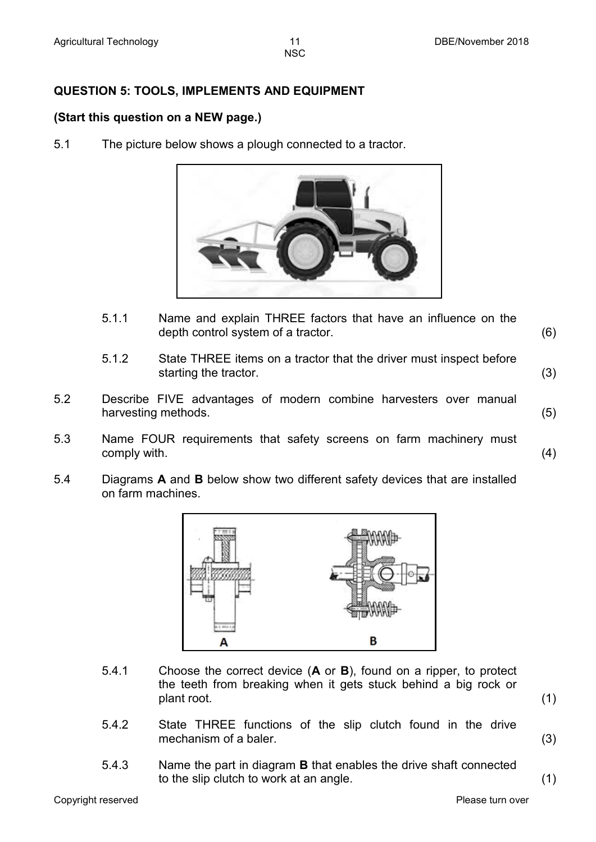#### **QUESTION 5: TOOLS, IMPLEMENTS AND EQUIPMENT**

#### **(Start this question on a NEW page.)**

5.1 The picture below shows a plough connected to a tractor.



- 5.1.1 Name and explain THREE factors that have an influence on the depth control system of a tractor. (6)
- 5.1.2 State THREE items on a tractor that the driver must inspect before starting the tractor. (3)
- 5.2 Describe FIVE advantages of modern combine harvesters over manual harvesting methods. (5)
- 5.3 Name FOUR requirements that safety screens on farm machinery must  $\mathsf{complex}$  with.  $\tag{4}$
- 5.4 Diagrams **A** and **B** below show two different safety devices that are installed on farm machines.



- 5.4.1 Choose the correct device (**A** or **B**), found on a ripper, to protect the teeth from breaking when it gets stuck behind a big rock or plant root. (1)
	-
- 5.4.2 State THREE functions of the slip clutch found in the drive mechanism of a baler. (3)

5.4.3 Name the part in diagram **B** that enables the drive shaft connected to the slip clutch to work at an angle. (1)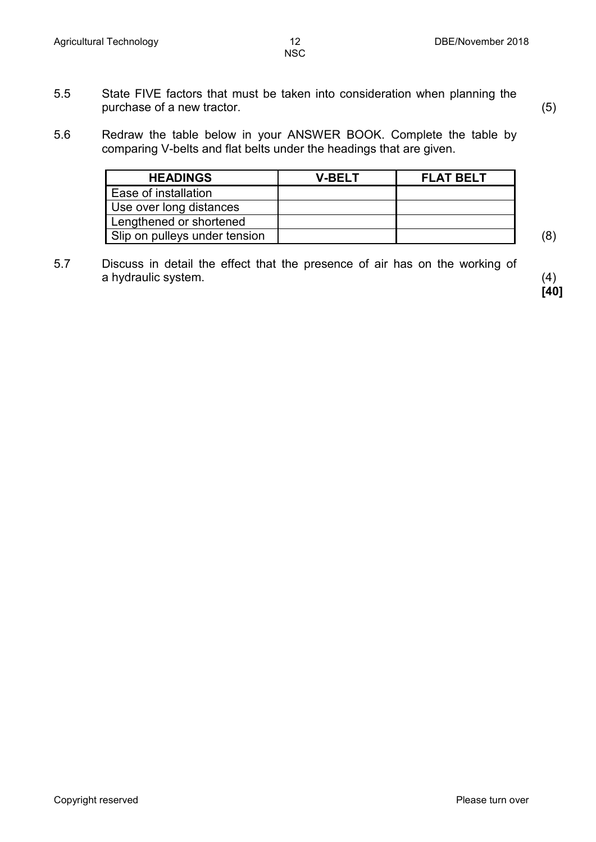- 5.5 State FIVE factors that must be taken into consideration when planning the purchase of a new tractor. (5)
- 5.6 Redraw the table below in your ANSWER BOOK. Complete the table by comparing V-belts and flat belts under the headings that are given.

| <b>HEADINGS</b>               | V-BFI T | <b>FLAT BELT</b> |     |
|-------------------------------|---------|------------------|-----|
| Ease of installation          |         |                  |     |
| Use over long distances       |         |                  |     |
| Lengthened or shortened       |         |                  |     |
| Slip on pulleys under tension |         |                  | (8) |

5.7 Discuss in detail the effect that the presence of air has on the working of a hydraulic system. (4)

**[40]**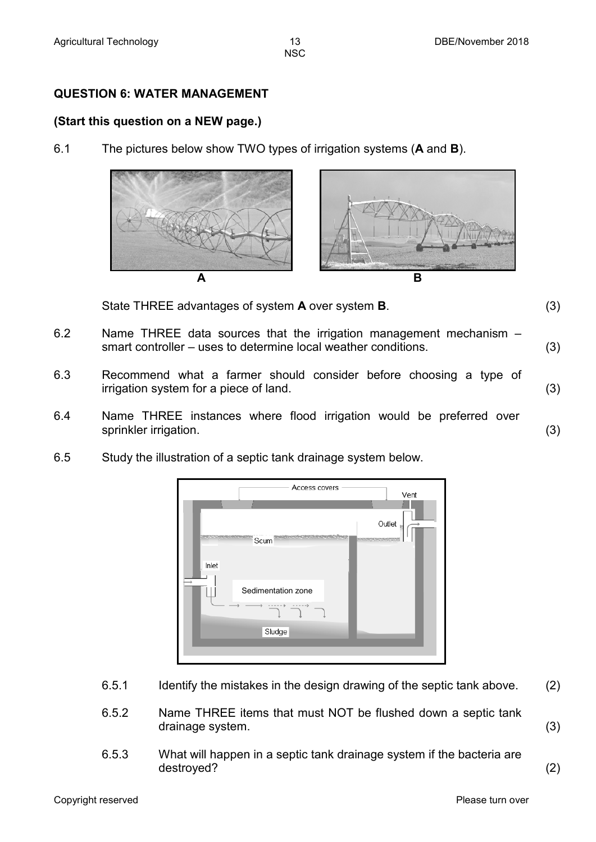#### **QUESTION 6: WATER MANAGEMENT**

#### **(Start this question on a NEW page.)**

6.1 The pictures below show TWO types of irrigation systems (**A** and **B**).



State THREE advantages of system **A** over system **B**. (3)

- 6.2 Name THREE data sources that the irrigation management mechanism smart controller – uses to determine local weather conditions. (3)
- 6.3 Recommend what a farmer should consider before choosing a type of irrigation system for a piece of land. (3)
- 6.4 Name THREE instances where flood irrigation would be preferred over sprinkler irrigation. (3)
- 6.5 Study the illustration of a septic tank drainage system below.



- 6.5.1 Identify the mistakes in the design drawing of the septic tank above. (2)
- 6.5.2 Name THREE items that must NOT be flushed down a septic tank drainage system. (3)
- 6.5.3 What will happen in a septic tank drainage system if the bacteria are destroyed? (2)